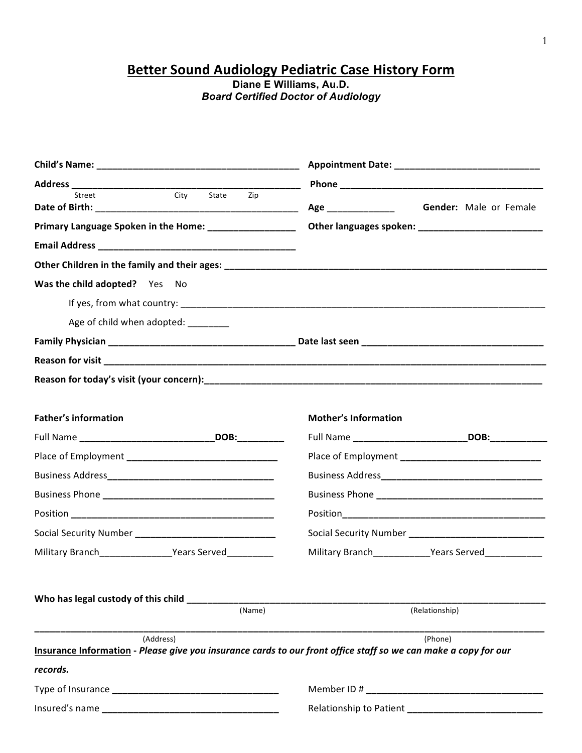**Better Sound Audiology Pediatric Case History Form**

**Diane E Williams, Au.D.** *Board Certified Doctor of Audiology*

| City State Zip<br>Street                                                                                                     | <b>Gender:</b> Male or Female |  |  |
|------------------------------------------------------------------------------------------------------------------------------|-------------------------------|--|--|
| Primary Language Spoken in the Home: _________________                                                                       |                               |  |  |
|                                                                                                                              |                               |  |  |
|                                                                                                                              |                               |  |  |
| Was the child adopted? Yes No                                                                                                |                               |  |  |
|                                                                                                                              |                               |  |  |
| Age of child when adopted: _________                                                                                         |                               |  |  |
|                                                                                                                              |                               |  |  |
|                                                                                                                              |                               |  |  |
|                                                                                                                              |                               |  |  |
|                                                                                                                              |                               |  |  |
| <b>Father's information</b>                                                                                                  | <b>Mother's Information</b>   |  |  |
|                                                                                                                              |                               |  |  |
|                                                                                                                              |                               |  |  |
|                                                                                                                              |                               |  |  |
|                                                                                                                              |                               |  |  |
|                                                                                                                              |                               |  |  |
| Social Security Number _________________________________                                                                     |                               |  |  |
| Military Branch Military Branch Mears Served                                                                                 | Military Branch Years Served  |  |  |
|                                                                                                                              |                               |  |  |
|                                                                                                                              |                               |  |  |
| Who has legal custody of this child<br>(Name)                                                                                | (Relationship)                |  |  |
|                                                                                                                              |                               |  |  |
| (Address)<br>Insurance Information - Please give you insurance cards to our front office staff so we can make a copy for our | (Phone)                       |  |  |
| records.                                                                                                                     |                               |  |  |
|                                                                                                                              |                               |  |  |
|                                                                                                                              |                               |  |  |
|                                                                                                                              |                               |  |  |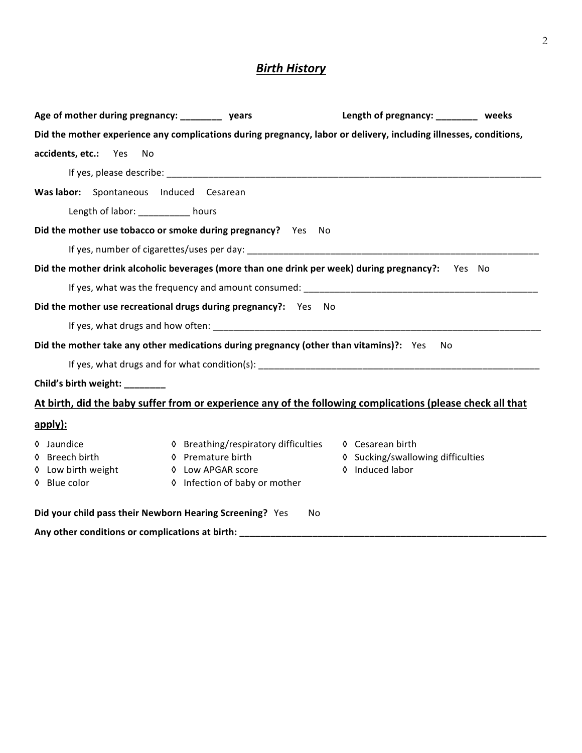# **Birth History**

| Age of mother during pregnancy: __________ years                                                                                                                                                                               |                                      | Length of pregnancy: ________ weeks |  |  |  |  |  |
|--------------------------------------------------------------------------------------------------------------------------------------------------------------------------------------------------------------------------------|--------------------------------------|-------------------------------------|--|--|--|--|--|
| Did the mother experience any complications during pregnancy, labor or delivery, including illnesses, conditions,                                                                                                              |                                      |                                     |  |  |  |  |  |
| accidents, etc.: Yes<br>No                                                                                                                                                                                                     |                                      |                                     |  |  |  |  |  |
|                                                                                                                                                                                                                                |                                      |                                     |  |  |  |  |  |
| Was labor: Spontaneous Induced Cesarean                                                                                                                                                                                        |                                      |                                     |  |  |  |  |  |
| Length of labor: __________ hours                                                                                                                                                                                              |                                      |                                     |  |  |  |  |  |
| Did the mother use tobacco or smoke during pregnancy? Yes No                                                                                                                                                                   |                                      |                                     |  |  |  |  |  |
|                                                                                                                                                                                                                                |                                      |                                     |  |  |  |  |  |
| Did the mother drink alcoholic beverages (more than one drink per week) during pregnancy?: Yes No                                                                                                                              |                                      |                                     |  |  |  |  |  |
| If yes, what was the frequency and amount consumed: example and an amount of the state of the state of the state of the state of the state of the state of the state of the state of the state of the state of the state of th |                                      |                                     |  |  |  |  |  |
| Did the mother use recreational drugs during pregnancy?: Yes                                                                                                                                                                   | - No                                 |                                     |  |  |  |  |  |
|                                                                                                                                                                                                                                |                                      |                                     |  |  |  |  |  |
| Did the mother take any other medications during pregnancy (other than vitamins)?: Yes                                                                                                                                         |                                      | No                                  |  |  |  |  |  |
|                                                                                                                                                                                                                                |                                      |                                     |  |  |  |  |  |
| Child's birth weight: ________                                                                                                                                                                                                 |                                      |                                     |  |  |  |  |  |
| At birth, did the baby suffer from or experience any of the following complications (please check all that                                                                                                                     |                                      |                                     |  |  |  |  |  |
| apply):                                                                                                                                                                                                                        |                                      |                                     |  |  |  |  |  |
| ♦ Jaundice                                                                                                                                                                                                                     | ♦ Breathing/respiratory difficulties | ♦ Cesarean birth                    |  |  |  |  |  |
| ♦ Breech birth                                                                                                                                                                                                                 | ♦ Premature birth                    | ♦ Sucking/swallowing difficulties   |  |  |  |  |  |
| ♦ Low birth weight                                                                                                                                                                                                             | 0 Induced labor<br>♦ Low APGAR score |                                     |  |  |  |  |  |
| ♦ Blue color                                                                                                                                                                                                                   | ♦ Infection of baby or mother        |                                     |  |  |  |  |  |
| Did your child pass their Newborn Hearing Screening? Yes                                                                                                                                                                       | No.                                  |                                     |  |  |  |  |  |
| Any other conditions or complications at birth:                                                                                                                                                                                |                                      |                                     |  |  |  |  |  |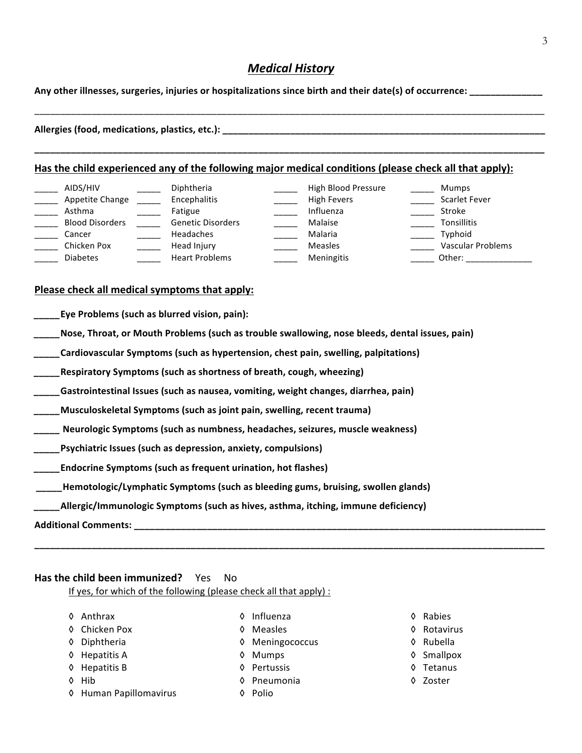## *Medical History*

Any other illnesses, surgeries, injuries or hospitalizations since birth and their date(s) of occurrence: \_\_\_\_\_\_\_\_\_\_

| Allergies (food, medications, plastics, etc.): |  |  |
|------------------------------------------------|--|--|

**\_\_\_\_\_\_\_\_\_\_\_\_\_\_\_\_\_\_\_\_\_\_\_\_\_\_\_\_\_\_\_\_\_\_\_\_\_\_\_\_\_\_\_\_\_\_\_\_\_\_\_\_\_\_\_\_\_\_\_\_\_\_\_\_\_\_\_\_\_\_\_\_\_\_\_\_\_\_\_\_\_\_\_\_\_\_\_\_\_\_\_\_\_\_\_\_\_\_**

#### Has the child experienced any of the following major medical conditions (please check all that apply):

| AIDS/HIV<br>Appetite Change<br>Asthma | Diphtheria<br>Encephalitis<br>Fatigue | High Blood Pressure<br>High Fevers<br>Influenza | Mumps<br><b>Scarlet Fever</b><br>Stroke |
|---------------------------------------|---------------------------------------|-------------------------------------------------|-----------------------------------------|
| <b>Blood Disorders</b><br>Cancer      | <b>Genetic Disorders</b><br>Headaches | Malaise<br>Malaria                              | Tonsillitis<br>Typhoid                  |
| Chicken Pox<br><b>Diabetes</b>        | Head Injury<br><b>Heart Problems</b>  | <b>Measles</b><br>Meningitis                    | <b>Vascular Problems</b><br>Other:      |

#### Please check all medical symptoms that apply:

- **Eye Problems (such as blurred vision, pain):**
- **Nose, Throat, or Mouth Problems (such as trouble swallowing, nose bleeds, dental issues, pain)**
- **\_\_\_\_\_Cardiovascular Symptoms (such as hypertension, chest pain, swelling, palpitations)**
- **\_\_\_\_\_Respiratory Symptoms (such as shortness of breath, cough, wheezing)**
- *\_\_\_\_***\_Gastrointestinal Issues (such as nausea, vomiting, weight changes, diarrhea, pain)**
- *\_\_\_\_\_***Musculoskeletal Symptoms (such as joint pain, swelling, recent trauma)**
- *\_\_\_\_\_* **Neurologic Symptoms (such as numbness, headaches, seizures, muscle weakness)**
- *\_\_\_\_\_***Psychiatric Issues (such as depression, anxiety, compulsions)**
- **Endocrine Symptoms (such as frequent urination, hot flashes)**
- **Hemotologic/Lymphatic Symptoms (such as bleeding gums, bruising, swollen glands)**
- *Allergic/Immunologic Symptoms (such as hives, asthma, itching, immune deficiency)*

**Additional Comments: \_\_\_\_\_\_\_\_\_\_\_\_\_\_\_\_\_\_\_\_\_\_\_\_\_\_\_\_\_\_\_\_\_\_\_\_\_\_\_\_\_\_\_\_\_\_\_\_\_\_\_\_\_\_\_\_\_\_\_\_\_\_\_\_\_\_\_\_\_\_\_\_\_\_\_\_\_\_\_**

## **Has the child been immunized?** Yes No

If yes, for which of the following (please check all that apply) :

- 
- ◊ Chicken Pox ◊ Measles ◊ Rotavirus
- ◊ Diphtheria ◊ Meningococcus ◊ Rubella
- ◊ Hepatitis A ◊ Mumps ◊ Smallpox
- ◊ Hepatitis B ◊ Pertussis ◊ Tetanus
- 
- ◊ Human Papillomavirus ◊ Polio
- ◊ Anthrax ◊ Influenza ◊ Rabies
	-

**\_\_\_\_\_\_\_\_\_\_\_\_\_\_\_\_\_\_\_\_\_\_\_\_\_\_\_\_\_\_\_\_\_\_\_\_\_\_\_\_\_\_\_\_\_\_\_\_\_\_\_\_\_\_\_\_\_\_\_\_\_\_\_\_\_\_\_\_\_\_\_\_\_\_\_\_\_\_\_\_\_\_\_\_\_\_\_\_\_\_\_\_\_\_\_\_\_\_**

- 
- 
- 
- ◊ Hib ◊ Pneumonia ◊ Zoster

- 
- 
- 
- 
- 
-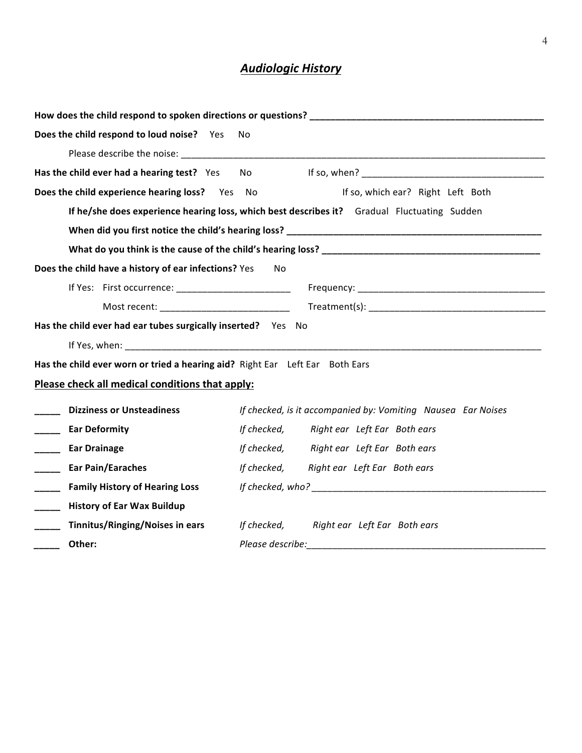# *Audiologic History*

| Does the child respond to loud noise? Yes<br>No                              |                                                                                             |  |  |  |  |  |
|------------------------------------------------------------------------------|---------------------------------------------------------------------------------------------|--|--|--|--|--|
|                                                                              |                                                                                             |  |  |  |  |  |
| Has the child ever had a hearing test? Yes No                                |                                                                                             |  |  |  |  |  |
| Does the child experience hearing loss? Yes No                               | If so, which ear? Right Left Both                                                           |  |  |  |  |  |
|                                                                              | If he/she does experience hearing loss, which best describes it? Gradual Fluctuating Sudden |  |  |  |  |  |
|                                                                              |                                                                                             |  |  |  |  |  |
|                                                                              |                                                                                             |  |  |  |  |  |
| Does the child have a history of ear infections? Yes                         | No                                                                                          |  |  |  |  |  |
|                                                                              |                                                                                             |  |  |  |  |  |
|                                                                              |                                                                                             |  |  |  |  |  |
| Has the child ever had ear tubes surgically inserted? Yes No                 |                                                                                             |  |  |  |  |  |
|                                                                              |                                                                                             |  |  |  |  |  |
| Has the child ever worn or tried a hearing aid? Right Ear Left Ear Both Ears |                                                                                             |  |  |  |  |  |
| Please check all medical conditions that apply:                              |                                                                                             |  |  |  |  |  |
| <b>Dizziness or Unsteadiness</b>                                             | If checked, is it accompanied by: Vomiting Nausea Ear Noises                                |  |  |  |  |  |
| <b>Ear Deformity</b>                                                         | If checked, Right ear Left Ear Both ears                                                    |  |  |  |  |  |
| $\mathbb{R}^n$<br><b>Ear Drainage</b>                                        | If checked, Right ear Left Ear Both ears                                                    |  |  |  |  |  |
| $\mathcal{L}^{\text{max}}$<br><b>Ear Pain/Earaches</b>                       | If checked, Right ear Left Ear Both ears                                                    |  |  |  |  |  |
| $\mathbb{R}^n$<br><b>Family History of Hearing Loss</b>                      |                                                                                             |  |  |  |  |  |
| <b>History of Ear Wax Buildup</b><br>$\mathcal{L}^{\text{max}}$              |                                                                                             |  |  |  |  |  |
| <b>Tinnitus/Ringing/Noises in ears</b>                                       | If checked, Right ear Left Ear Both ears                                                    |  |  |  |  |  |
| Other:                                                                       |                                                                                             |  |  |  |  |  |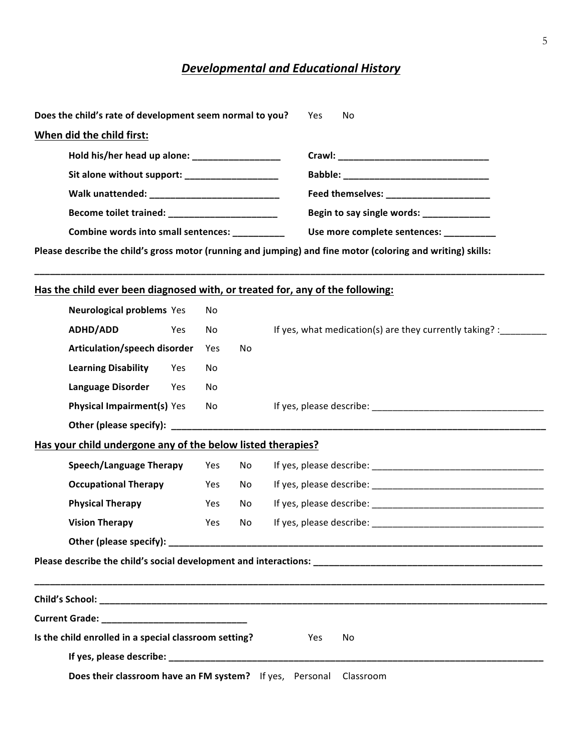# **Developmental and Educational History**

| Does the child's rate of development seem normal to you? Yes                                                | No                                        |  |  |  |  |  |
|-------------------------------------------------------------------------------------------------------------|-------------------------------------------|--|--|--|--|--|
| When did the child first:                                                                                   |                                           |  |  |  |  |  |
| Hold his/her head up alone: __________________                                                              |                                           |  |  |  |  |  |
| Sit alone without support: _________________                                                                |                                           |  |  |  |  |  |
|                                                                                                             | Feed themselves: ________________________ |  |  |  |  |  |
| Become toilet trained: ______________________                                                               | Begin to say single words: _____________  |  |  |  |  |  |
| <b>Combine words into small sentences:</b>                                                                  | Use more complete sentences:              |  |  |  |  |  |
| Please describe the child's gross motor (running and jumping) and fine motor (coloring and writing) skills: |                                           |  |  |  |  |  |
|                                                                                                             |                                           |  |  |  |  |  |
| Has the child ever been diagnosed with, or treated for, any of the following:                               |                                           |  |  |  |  |  |

| <b>Neurological problems Yes</b>                            |     | No             |    |                                                         |
|-------------------------------------------------------------|-----|----------------|----|---------------------------------------------------------|
| ADHD/ADD                                                    | Yes | N <sub>o</sub> |    | If yes, what medication(s) are they currently taking? : |
| Articulation/speech disorder                                |     | Yes            | No |                                                         |
| <b>Learning Disability</b>                                  | Yes | No             |    |                                                         |
| Language Disorder                                           | Yes | No.            |    |                                                         |
| <b>Physical Impairment(s) Yes</b>                           |     | No             |    |                                                         |
|                                                             |     |                |    |                                                         |
| Has your child undergone any of the below listed therapies? |     |                |    |                                                         |
| <b>Speech/Language Therapy</b>                              |     | Yes            | No |                                                         |
| <b>Occupational Therapy</b>                                 |     | Yes            | No |                                                         |
| <b>Physical Therapy</b>                                     |     | Yes            | No |                                                         |
| <b>Vision Therapy</b>                                       |     | Yes            | No |                                                         |
|                                                             |     |                |    |                                                         |
|                                                             |     |                |    |                                                         |
|                                                             |     |                |    |                                                         |
|                                                             |     |                |    |                                                         |
|                                                             |     |                |    |                                                         |
| Is the child enrolled in a special classroom setting?       |     |                |    | Yes<br>No                                               |
|                                                             |     |                |    |                                                         |
| Does their classroom have an FM system? If yes, Personal    |     |                |    | Classroom                                               |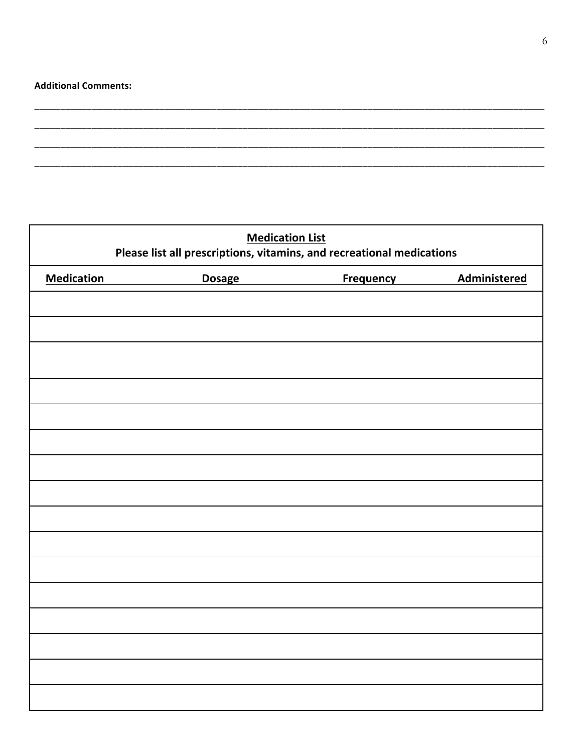## **Additional Comments:**

| <b>Medication List</b><br>Please list all prescriptions, vitamins, and recreational medications |                  |              |  |  |  |  |  |
|-------------------------------------------------------------------------------------------------|------------------|--------------|--|--|--|--|--|
| <b>Medication</b>                                                                               | <b>Frequency</b> | Administered |  |  |  |  |  |
|                                                                                                 |                  |              |  |  |  |  |  |
|                                                                                                 |                  |              |  |  |  |  |  |
|                                                                                                 |                  |              |  |  |  |  |  |
|                                                                                                 |                  |              |  |  |  |  |  |
|                                                                                                 |                  |              |  |  |  |  |  |
|                                                                                                 |                  |              |  |  |  |  |  |
|                                                                                                 |                  |              |  |  |  |  |  |
|                                                                                                 |                  |              |  |  |  |  |  |
|                                                                                                 |                  |              |  |  |  |  |  |
|                                                                                                 |                  |              |  |  |  |  |  |
|                                                                                                 |                  |              |  |  |  |  |  |
|                                                                                                 |                  |              |  |  |  |  |  |
|                                                                                                 |                  |              |  |  |  |  |  |
|                                                                                                 |                  |              |  |  |  |  |  |
|                                                                                                 |                  |              |  |  |  |  |  |
|                                                                                                 |                  |              |  |  |  |  |  |
|                                                                                                 |                  |              |  |  |  |  |  |
|                                                                                                 |                  |              |  |  |  |  |  |